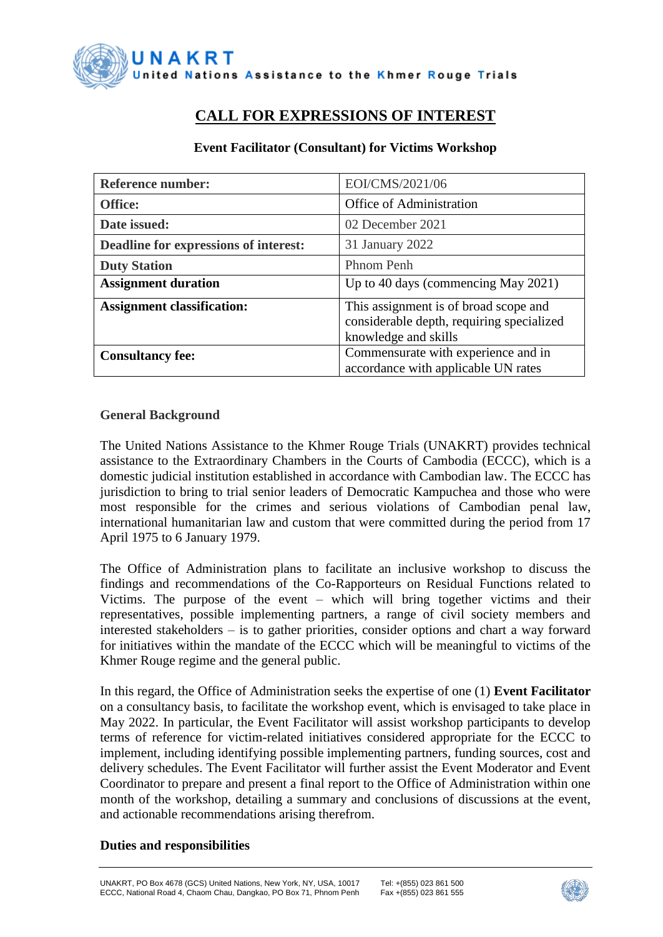

# **CALL FOR EXPRESSIONS OF INTEREST**

#### **Event Facilitator (Consultant) for Victims Workshop**

| <b>Reference number:</b>              | EOI/CMS/2021/06                                                                                            |  |
|---------------------------------------|------------------------------------------------------------------------------------------------------------|--|
| <b>Office:</b>                        | Office of Administration                                                                                   |  |
| Date issued:                          | 02 December 2021                                                                                           |  |
| Deadline for expressions of interest: | 31 January 2022                                                                                            |  |
| <b>Duty Station</b>                   | Phnom Penh                                                                                                 |  |
| <b>Assignment duration</b>            | Up to 40 days (commencing May 2021)                                                                        |  |
| <b>Assignment classification:</b>     | This assignment is of broad scope and<br>considerable depth, requiring specialized<br>knowledge and skills |  |
| <b>Consultancy fee:</b>               | Commensurate with experience and in<br>accordance with applicable UN rates                                 |  |

#### **General Background**

The [United Nations Assistance to the Khmer Rouge Trials \(UNAKRT\)](http://www.unakrt-online.org/about-us) provides technical assistance to the [Extraordinary Chambers in the Courts of Cambodia \(ECCC\),](https://www.eccc.gov.kh/en/) which is a domestic judicial institution [established in accordance with Cambodian law.](https://www.eccc.gov.kh/sites/default/files/legal-documents/KR_Law_as_amended_27_Oct_2004_Eng.pdf) The ECCC has jurisdiction to bring to trial senior leaders of Democratic Kampuchea and those who were most responsible for the crimes and serious violations of Cambodian penal law, international humanitarian law and custom that were committed during the period from 17 April 1975 to 6 January 1979.

The Office of Administration plans to facilitate an inclusive workshop to discuss the findings and recommendations of the Co-Rapporteurs on Residual Functions related to Victims. The purpose of the event – which will bring together victims and their representatives, possible implementing partners, a range of civil society members and interested stakeholders – is to gather priorities, consider options and chart a way forward for initiatives within the mandate of the ECCC which will be meaningful to victims of the Khmer Rouge regime and the general public.

In this regard, the Office of Administration seeks the expertise of one (1) **Event Facilitator** on a consultancy basis, to facilitate the workshop event, which is envisaged to take place in May 2022. In particular, the Event Facilitator will assist workshop participants to develop terms of reference for victim-related initiatives considered appropriate for the ECCC to implement, including identifying possible implementing partners, funding sources, cost and delivery schedules. The Event Facilitator will further assist the Event Moderator and Event Coordinator to prepare and present a final report to the Office of Administration within one month of the workshop, detailing a summary and conclusions of discussions at the event, and actionable recommendations arising therefrom.

## **Duties and responsibilities**

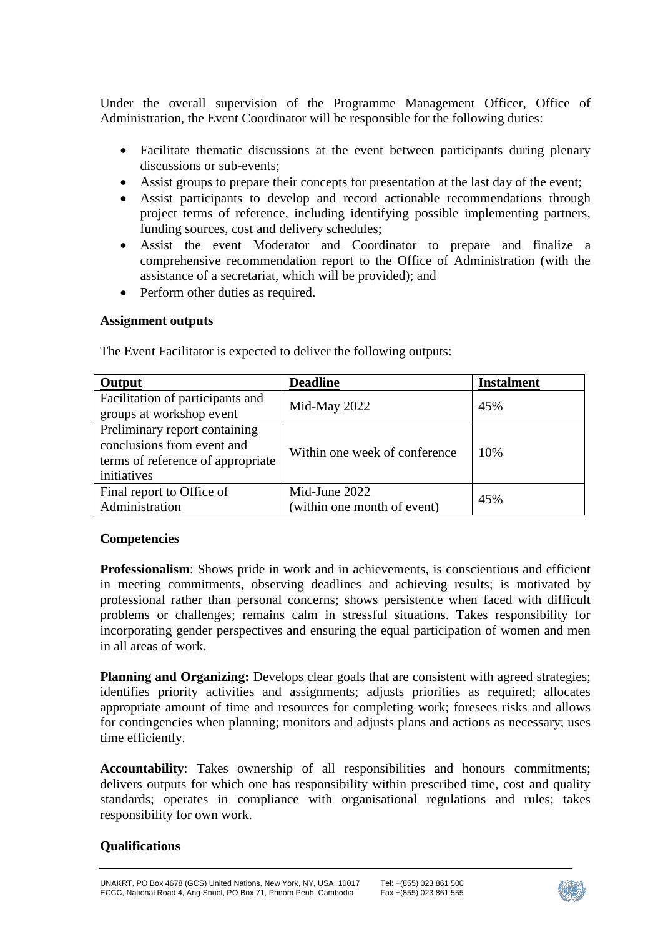Under the overall supervision of the Programme Management Officer, Office of Administration, the Event Coordinator will be responsible for the following duties:

- Facilitate thematic discussions at the event between participants during plenary discussions or sub-events;
- Assist groups to prepare their concepts for presentation at the last day of the event;
- Assist participants to develop and record actionable recommendations through project terms of reference, including identifying possible implementing partners, funding sources, cost and delivery schedules;
- Assist the event Moderator and Coordinator to prepare and finalize a comprehensive recommendation report to the Office of Administration (with the assistance of a secretariat, which will be provided); and
- Perform other duties as required.

## **Assignment outputs**

| Output                                                                                                          | <b>Deadline</b>                              | <b>Instalment</b> |
|-----------------------------------------------------------------------------------------------------------------|----------------------------------------------|-------------------|
| Facilitation of participants and<br>groups at workshop event                                                    | Mid-May 2022                                 | 45%               |
| Preliminary report containing<br>conclusions from event and<br>terms of reference of appropriate<br>initiatives | Within one week of conference                | 10%               |
| Final report to Office of<br>Administration                                                                     | Mid-June 2022<br>(within one month of event) | 45%               |

The Event Facilitator is expected to deliver the following outputs:

## **Competencies**

**Professionalism**: Shows pride in work and in achievements, is conscientious and efficient in meeting commitments, observing deadlines and achieving results; is motivated by professional rather than personal concerns; shows persistence when faced with difficult problems or challenges; remains calm in stressful situations. Takes responsibility for incorporating gender perspectives and ensuring the equal participation of women and men in all areas of work.

**Planning and Organizing:** Develops clear goals that are consistent with agreed strategies; identifies priority activities and assignments; adjusts priorities as required; allocates appropriate amount of time and resources for completing work; foresees risks and allows for contingencies when planning; monitors and adjusts plans and actions as necessary; uses time efficiently.

**Accountability**: Takes ownership of all responsibilities and honours commitments; delivers outputs for which one has responsibility within prescribed time, cost and quality standards; operates in compliance with organisational regulations and rules; takes responsibility for own work.

# **Qualifications**